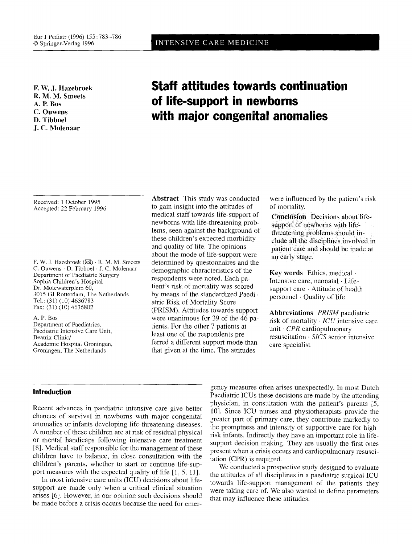**E W. J. Hazebroek R. M. M. Smeets A. P. Bos C. Ouwens D. Tibboel J. C. Molenaar** 

## Received: 1 October 1995 Accepted: 22 February 1996

F. W. J. Hazebroek  $(\boxtimes)$   $\cdot$  R. M. M. Smeets C. Ouwens · D. Tibboel · J. C. Molenaar Department of Paediatric Surgery Sophia Children's Hospital Dr. Molewaterplein 60, 3015 GJ Rotterdam, The Netherlands Tel.: (31) (10) 4636783 Fax: (3I) (10) 4636802

A. P. Bos Department of Paediatrics, Paediatric Intensive Care Unit, Beatrix Clinic/ Academic Hospital Groningen, Groningen, The Netherlands

## **Abstract** This study was conducted to gain insight into the attitudes of medical staff towards life-support of newborns with life-threatening problems, seen against the background of these children's expected morbidity and quality of life. The opinions about the mode of life-support were determined by questonnaires and the demographic characteristics of the respondents were noted. Each patient's risk of mortality was scored by means of the standardized Paediatric Risk of Mortality Score (PRISM). Attitudes towards support were unanimous for 39 of the 46 patients. For the other 7 patients at least one of the respondents preferred a different support mode than that given at the time. The attitudes

were influenced by the patient's risk of mortality.

**Conclusion** Decisions about lifesupport of newborns with lifethreatening problems should include all the disciplines involved in patient care and should be made at an early stage.

Key words Ethics, medical  $\cdot$ Intensive care, neonatal · Lifesupport care - Attitude of health personnel. Quality of life

**Abbreviations** *PRISM* paediatric risk of mortality - *ICU* intensive care unit *CPR* cardiopulmonary resuscitation · SICS senior intensive care specialist

## **Introduction**

Recent advances in paediatric intensive care give better chances of survival in newborns with major congenital anomalies or infants developing life-threatening diseases. A number of these children are at risk of residual physical or mental handicaps following intensive care treatment [8]. Medical staff responsible for the management of these children have to balance, in close consultation with the children's parents, whether to start or continue life-support measures with the expected quality of life [1, 5, 11].

In most intensive care units (ICU) decisions about lifesupport are made only when a critical clinical situation arises [6]. However, in our opinion such decisions should be made before a crisis occurs because the need for emer-

gency measures often arises unexpectedly. In most Dutch Paediatric ICUs these decisions are made by the attending physician, in consultation with the patient's parents [5, 10]. Since ICU nurses and physiotherapists provide the greater part of primary care, they contribute markedly to the promptness and intensity of supportive care for highrisk infants. Indirectly they have an important role in lifesupport decision making. They are usually the first ones present when a crisis occurs and cardiopuhnonary resuscitation (CPR) is required.

We conducted a prospective study designed to evaluate the attitudes of all disciplines in a paediatric surgical ICU towards life-support management of the patients they were taking care of. We also wanted to define parameters that may influence these attitudes.

# **Staff attitudes towards continuation of life-support in newborns with major congenital anomalies**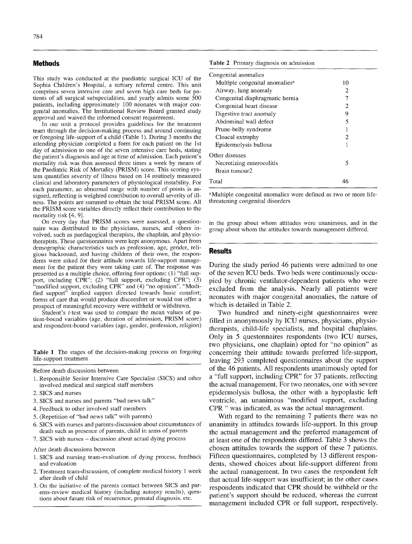### **Methods**

This study was conducted at the paediatric surgical ICU of the Sophia Children's Hospital, a tertiary referral centre. This unit comprises seven intensive care and seven high care beds for patients of all surgical subspecialities, and yearly admits some 500 patients, including approximately 100 neonates with major congenital anomalies. The Institutional Review Board granted study approval and waived the informed consent requirement.

In our unit a protocol provides guidelines for the treatment team through the decision-making process and around continuing or foregoing life-support of a child (Table 1). During 3 months the attending physician completed a form for each patient on the 1st day of admission to one of the seven intensive care beds, stating the patient's diagnosis and age at time of admission. Each patient's mortality risk was then assessed three times a week by means of the Paediatric Risk of Mortality (PRISM) score. This scoring system quantifies severity of illness based on 14 routinely measured clinical and laboratory parameters of physiological instability. For each parameter, an abnormal range with number of points is assigned, reflecting is weighted contribution to overall severity of illness. The points are summed to obtain the total PRISM score. All the PRISM score variables directly reflect their contribution to the mortality risk [4, 9].

On every day that PRISM scores were assessed, a questionnaire was distributed to the physicians, nurses, and others involved, such as paedagogical therapists, the chaplain, and physiotherapists. These questionnaires were kept anonymous. Apart from demographic characteristics such as profession, age, gender, religious backround, and having children of their own, the respondents were asked for their attitude towards life-support management for the patient they were taking care of. The response was presented as a multiple choice, offering four options: (1) "full support, including CPR"; (2) "full support, excluding CPR"; (3) "modified support, excluding CPR" and (4) "no opinion". "Modified support" implied support directed towards basic comfort; forms of care that would produce discomfort or would not offer a prospect of meaningful recovery were withheld or withdrawn.

Student's *t*-test was used to compare the mean values of patient-bound variables (age, duration of admission, PRISM score) and respondent-bound variables (age, gender, profession, religion)

Table 1 The stages of the decision-making process on forgoing life-support treatment

Before death discussions between

- 1. Responsible Senior Intensive Care Specialist (SICS) and other involved medical and surgical staff members
- 2. SICS and nurses
- 3. SICS and nurses and parents "bad news talk"
- 4. Feedback to other involved staff members
- 5. (Repetition of "bad news talk" with parents)
- 6. SICS with nurses and parents-discussion about circumstances of death such as presence of parents, child in arms of parents
- 7. SICS with nurses discussion about actual dying process

After death discussions between

- 1. SICS and nursing team-evaluation of dying process, feedback and evaluation
- 2. Treatment team-discussion, of complete medical history 1 week after death of child
- 3. On the initiative of the parents contact between SICS and parents-review medical history (including autopsy results), questions about future risk of recurrence, prenatal diagnosis, etc.

#### **Table** 2 Primary diagnosis on admission

| Congenital anomalies                       |    |
|--------------------------------------------|----|
| Multiple congenital anomalies <sup>a</sup> | 10 |
| Airway, lung anomaly                       | 2  |
| Congenital diaphragmatic hernia            |    |
| Congenital heart disease                   | 2  |
| Digestive tract anomaly                    | 9  |
| Abdominal wall defect                      | 5  |
| Prune-belly syndrome                       |    |
| Cloacal extrophy                           | 2  |
| Epidermolysis bullosa                      | 1  |
| Other diseases                             |    |
| Necrotizing enterocolitis                  | 5  |
| Brain tumour2                              |    |
| Total                                      | 46 |

<sup>a</sup>Multiple congenital anomalies were defined as two or more lifethreatening congenital disorders

in the group about whom attitudes were unanimous, and in the group about whom the attitudes towards management differed.

### **Results**

During the study period 46 patients were admitted to one of the seven ICU beds. Two beds were continuously occupied by chronic ventilator-dependent patients who were excluded from the analysis. Nearly all patients were neonates with major congenital anomalies, the nature of which is detailed in Table 2.

Two hundred and ninety-eight questionnaires were filled in anonymously by ICU nurses, physicians, physiotherapists, child-life specialists, and hospital chaplains. Only in 5 questonnaires respondents (two ICU nurses, two physicians, one chaplain) opted for "no opinion" as concerning their attitude towards preferred life-support, leaving 293 completed questionnaires about the support of the 46 patients. All respondents unanimously opted for a "full support, including CPR" for 37 patients, reflecting the actual management. For two neonates, one with severe epidermolysis bullosa, the other with a hypoplastic left ventricle, an unanimous "modified support, excluding CPR " was indicated, as was the actual management.

With regard to the remaining 7 patients there was no unanimity in attitudes towards life-support. In this group the actual management and the preferred management of at least one of the respondents differed. Table 3 shows the chosen attitudes towards the support of these 7 patients. Fifteen questionnaires, completed by 13 different respondents, showed choices about life-support different from the actual management. In two cases the respondent felt that actual life-support was insufficient; in the other cases respondents indicated that CPR should be withheld or the patient's support should be reduced, whereas the current management included CPR or full support, respectively.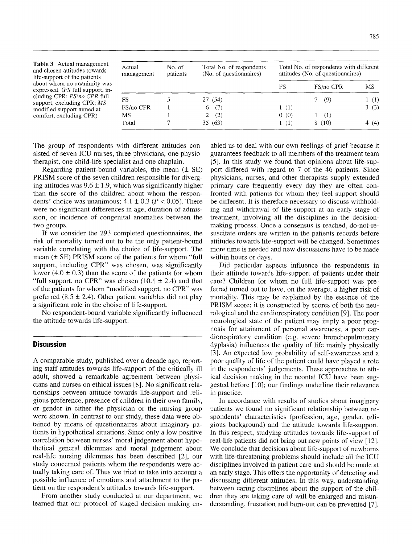Table 3 Actual management and chosen attitudes towards life-support of the patients about whom no unanimity was expressed. *(FS* full support, including CPR; *FS/no CPR* full support, excluding CPR; *MS*  modified support aimed at comfort, excluding CPR)

| Actual<br>management | No. of<br>patients | Total No. of respondents<br>(No. of questionnaires) | Total No. of respondents with different<br>attitudes (No. of questionnaires) |           |      |
|----------------------|--------------------|-----------------------------------------------------|------------------------------------------------------------------------------|-----------|------|
|                      |                    |                                                     | FS                                                                           | FS/no CPR | MS   |
| FS                   |                    | 27 (54)                                             |                                                                              | (9)       | 1(1) |
| FS/no CPR            |                    | (7)<br>6.                                           | 1(1)                                                                         |           | 3(3) |
| MS                   |                    | (2)<br>2.                                           | 0(0)                                                                         | (1)       |      |
| Total                |                    | 35(63)                                              | 1(1)                                                                         | 8(10)     | (4)  |

The group of respondents with different attitudes consisted of seven ICU nurses, three physicians, one physiotherapist, one child-life specialist and one chaplain.

Regarding patient-bound variables, the mean  $(\pm \text{ SE})$ PRISM score of the seven children responsible for diverging attitudes was  $9.6 \pm 1.9$ , which was significantly higher than the score of the children about whom the respondents' choice was unanimous:  $4.1 \pm 0.3$  ( $P < 0.05$ ). There were no significant differences in age, duration of admission, or incidence of congenital anomalies between the two groups.

If we consider the 293 completed questionnaires, the risk of mortality turned out to be the only patient-bound variable correlating with the choice of life-support. The mean  $(\pm S$ E) PRISM score of the patients for whom "full support, including CPR" was chosen, was significantly lower (4.0  $\pm$  0.3) than the score of the patients for whom "full support, no CPR" was chosen  $(10.1 \pm 2.4)$  and that of the patients for whom "modified support, no CPR" was preferred  $(8.5 \pm 2.4)$ . Other patient variables did not play a significant role in the choise of life-support.

No respondent-bound variable significantly influenced the attitude towards life-support.

## **Discussion**

A comparable study, published over a decade ago, reporting staff attitudes towards life-support of the critically ill adult, showed a remarkable agreement between physicians and nurses on ethical issues [8]. No significant relationships between attitude towards life-support and religious preference, presence of children in their own family, or gender in either the physician or the nursing group were shown. In contrast to our study, these data were obtained by means of questionnaires about imaginary patients in hypothetical situations. Since only a low positive correlation between nurses' moral judgement about hypothetical general dilemmas and moral judgement about real-life nursing dilemmas has been described [2], our study concerned patients whom the respondents were actually taking care of. Thus we tried to take into account a possible influence of emotions and attachment to the patient on the respondent's attitudes towards life-support.

From another study conducted at our department, we learned that our protocol of staged decision making enabled us to deal with our own feelings of grief because it guarantees feedback to all members of the treatment team [5]. In this study we found that opinions about life-support differed with regard to 7 of the 46 patients. Since physicians, nurses, and other therapists supply extended primary care frequently every day they are often confronted with patients for whom they feel support should be different. It is therefore necessary to discuss withholding and withdrawal of life-support at an early stage of treatment, involving all the disciplines in the decisionmaking process. Once a consensus is reached, do-not-resuscitate orders are written in the patients records before attitudes towards life-support will be changed. Sometimes more time is needed and new discussions have to be made within hours or days.

Did particular aspects influence the respondents in their attitude towards life-support of patients under their care? Children for whom no full life-support was preferred turned out to have, on the average, a higher risk of mortality. This may be explained by the essence of the PRISM score: it is constructed by scores of both the neurological and the cardiorespiratory condition [9]. The poor neurological state of the patient may imply a poor prognosis for attainment of personal awareness; a poor cardiorespiratory condition (e.g. severe bronchopulmonary dyplasia) influences the quality of life mainly physically [3]. An expected low probability of self-awareness and a poor quality of life of the patient could have played a role in the respondents' judgements. These approaches to ethical decision making in the neontal ICU have been suggested before [10]; our findings underline their relevance in practice.

In accordance with results of studies about imaginary patients we found no significant relationship between respondents' characteristics (profession, age, gender, religious background) and the attitude towards life-support. In this respect, studying attitudes towards life-support of real-life patients did not bring out new points of view [12]. We conclude that decisions about life-support of newborns with life-threatening problems should include all the ICU disciplines involved in patient care and should be made at an early stage. This offers the opportunity of detecting and discussing different attitudes. In this way, understanding between caring disciplines about the support of the children they are taking care of will be enlarged and misunderstanding, frustation and bum-out can be prevented [7].